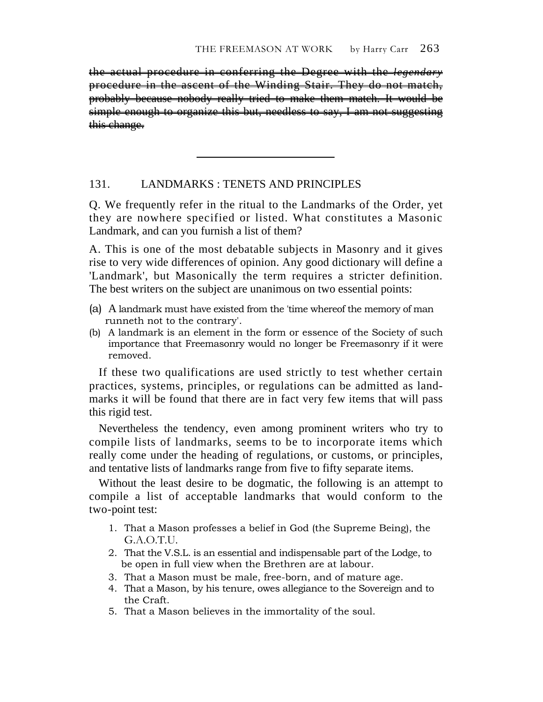the actual procedure in conferring the Degree with the *legendary*  procedure in the ascent of the Winding Stair. They do not match, probably because nobody really tried to make them match. It would be simple enough to organize this but, needless to say, I am not suggesting this change.

## 131. LANDMARKS : TENETS AND PRINCIPLES

Q. We frequently refer in the ritual to the Landmarks of the Order, yet they are nowhere specified or listed. What constitutes a Masonic Landmark, and can you furnish a list of them?

A. This is one of the most debatable subjects in Masonry and it gives rise to very wide differences of opinion. Any good dictionary will define a 'Landmark', but Masonically the term requires a stricter definition. The best writers on the subject are unanimous on two essential points:

- (a) A landmark must have existed from the 'time whereof the memory of man runneth not to the contrary'.
- (b) A landmark is an element in the form or essence of the Society of such importance that Freemasonry would no longer be Freemasonry if it were removed.

If these two qualifications are used strictly to test whether certain practices, systems, principles, or regulations can be admitted as landmarks it will be found that there are in fact very few items that will pass this rigid test.

Nevertheless the tendency, even among prominent writers who try to compile lists of landmarks, seems to be to incorporate items which really come under the heading of regulations, or customs, or principles, and tentative lists of landmarks range from five to fifty separate items.

Without the least desire to be dogmatic, the following is an attempt to compile a list of acceptable landmarks that would conform to the two-point test:

- 1. That a Mason professes a belief in God (the Supreme Being), the G.A.O.T.U.
- 2. That the V.S.L. is an essential and indispensable part of the Lodge, to be open in full view when the Brethren are at labour.
- 3. That a Mason must be male, free-born, and of mature age.
- 4. That a Mason, by his tenure, owes allegiance to the Sovereign and to the Craft.
- 5. That a Mason believes in the immortality of the soul.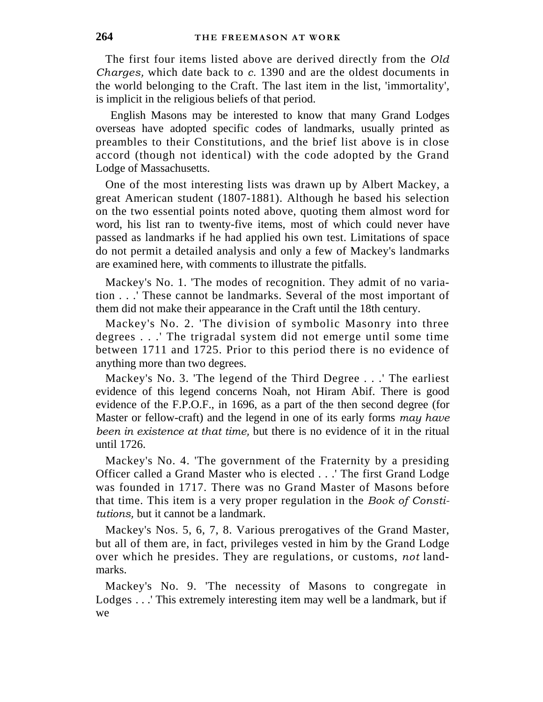The first four items listed above are derived directly from the *Old Charges,* which date back to *c.* 1390 and are the oldest documents in the world belonging to the Craft. The last item in the list, 'immortality', is implicit in the religious beliefs of that period.

 English Masons may be interested to know that many Grand Lodges overseas have adopted specific codes of landmarks, usually printed as preambles to their Constitutions, and the brief list above is in close accord (though not identical) with the code adopted by the Grand Lodge of Massachusetts.

One of the most interesting lists was drawn up by Albert Mackey, a great American student (1807-1881). Although he based his selection on the two essential points noted above, quoting them almost word for word, his list ran to twenty-five items, most of which could never have passed as landmarks if he had applied his own test. Limitations of space do not permit a detailed analysis and only a few of Mackey's landmarks are examined here, with comments to illustrate the pitfalls.

Mackey's No. 1. 'The modes of recognition. They admit of no variation . . .' These cannot be landmarks. Several of the most important of them did not make their appearance in the Craft until the 18th century.

Mackey's No. 2. 'The division of symbolic Masonry into three degrees . . .' The trigradal system did not emerge until some time between 1711 and 1725. Prior to this period there is no evidence of anything more than two degrees.

Mackey's No. 3. 'The legend of the Third Degree . . .' The earliest evidence of this legend concerns Noah, not Hiram Abif. There is good evidence of the F.P.O.F., in 1696, as a part of the then second degree (for Master or fellow-craft) and the legend in one of its early forms *may have been in existence at that time,* but there is no evidence of it in the ritual until 1726.

Mackey's No. 4. 'The government of the Fraternity by a presiding Officer called a Grand Master who is elected . . .' The first Grand Lodge was founded in 1717. There was no Grand Master of Masons before that time. This item is a very proper regulation in the *Book of Constitutions,* but it cannot be a landmark.

Mackey's Nos. 5, 6, 7, 8. Various prerogatives of the Grand Master, but all of them are, in fact, privileges vested in him by the Grand Lodge over which he presides. They are regulations, or customs, *not* landmarks.

Mackey's No. 9. 'The necessity of Masons to congregate in Lodges . . .' This extremely interesting item may well be a landmark, but if we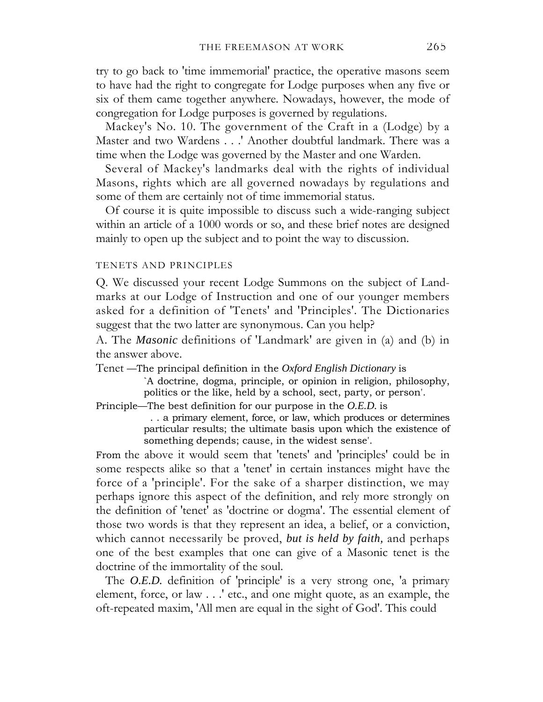try to go back to 'time immemorial' practice, the operative masons seem to have had the right to congregate for Lodge purposes when any five or six of them came together anywhere. Nowadays, however, the mode of congregation for Lodge purposes is governed by regulations.

Mackey's No. 10. The government of the Craft in a (Lodge) by a Master and two Wardens . . .' Another doubtful landmark. There was a time when the Lodge was governed by the Master and one Warden.

Several of Mackey's landmarks deal with the rights of individual Masons, rights which are all governed nowadays by regulations and some of them are certainly not of time immemorial status.

Of course it is quite impossible to discuss such a wide-ranging subject within an article of a 1000 words or so, and these brief notes are designed mainly to open up the subject and to point the way to discussion.

## TENETS AND PRINCIPLES

Q. We discussed your recent Lodge Summons on the subject of Landmarks at our Lodge of Instruction and one of our younger members asked for a definition of 'Tenets' and 'Principles'. The Dictionaries suggest that the two latter are synonymous. Can you help?

A. The *Masonic* definitions of 'Landmark' are given in (a) and (b) in the answer above.

Tenet —The principal definition in the *Oxford English Dictionary* is

`A doctrine, dogma, principle, or opinion in religion, philosophy, politics or the like, held by a school, sect, party, or person'.

Principle—The best definition for our purpose in the *O.E.D.* is

. . a primary element, force, or law, which produces or determines particular results; the ultimate basis upon which the existence of something depends; cause, in the widest sense'.

From the above it would seem that 'tenets' and 'principles' could be in some respects alike so that a 'tenet' in certain instances might have the force of a 'principle'. For the sake of a sharper distinction, we may perhaps ignore this aspect of the definition, and rely more strongly on the definition of 'tenet' as 'doctrine or dogma'. The essential element of those two words is that they represent an idea, a belief, or a conviction, which cannot necessarily be proved, *but is held by faith,* and perhaps one of the best examples that one can give of a Masonic tenet is the doctrine of the immortality of the soul.

The *O.E.D.* definition of 'principle' is a very strong one, 'a primary element, force, or law . . .' etc., and one might quote, as an example, the oft-repeated maxim, 'All men are equal in the sight of God'. This could